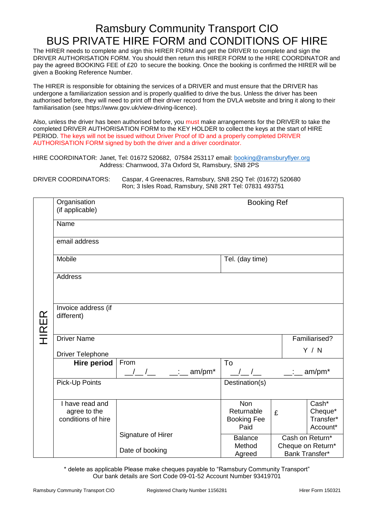## Ramsbury Community Transport CIO BUS PRIVATE HIRE FORM and CONDITIONS OF HIRE

The HIRER needs to complete and sign this HIRER FORM and get the DRIVER to complete and sign the DRIVER AUTHORISATION FORM. You should then return this HIRER FORM to the HIRE COORDINATOR and pay the agreed BOOKING FEE of £20 to secure the booking. Once the booking is confirmed the HIRER will be given a Booking Reference Number.

The HIRER is responsible for obtaining the services of a DRIVER and must ensure that the DRIVER has undergone a familiarization session and is properly qualified to drive the bus. Unless the driver has been authorised before, they will need to print off their driver record from the DVLA website and bring it along to their familiarisation (see https://www.gov.uk/view-driving-licence).

Also, unless the driver has been authorised before, you must make arrangements for the DRIVER to take the completed DRIVER AUTHORISATION FORM to the KEY HOLDER to collect the keys at the start of HIRE PERIOD. The keys will not be issued without Driver Proof of ID and a properly completed DRIVER AUTHORISATION FORM signed by both the driver and a driver coordinator.

HIRE COORDINATOR: Janet, Tel: 01672 520682, 07584 253117 email: [booking@ramsburyflyer.org](mailto:booking@ramsburyflyer.org) Address: Charnwood, 37a Oxford St, Ramsbury, SN8 2PS

DRIVER COORDINATORS: Caspar, 4 Greenacres, Ramsbury, SN8 2SQ Tel: (01672) 520680 Ron; 3 Isles Road, Ramsbury, SN8 2RT Tel: 07831 493751

|              | Organisation<br>(if applicable)                       |                                                                                  | <b>Booking Ref</b>                                     |                                                        |                                           |
|--------------|-------------------------------------------------------|----------------------------------------------------------------------------------|--------------------------------------------------------|--------------------------------------------------------|-------------------------------------------|
|              | Name                                                  |                                                                                  |                                                        |                                                        |                                           |
|              | email address                                         |                                                                                  |                                                        |                                                        |                                           |
|              | Mobile                                                | Tel. (day time)                                                                  |                                                        |                                                        |                                           |
|              | <b>Address</b>                                        |                                                                                  |                                                        |                                                        |                                           |
| <b>HIRER</b> | Invoice address (if<br>different)                     |                                                                                  |                                                        |                                                        |                                           |
|              | <b>Driver Name</b>                                    |                                                                                  |                                                        | Familiarised?                                          |                                           |
|              | <b>Driver Telephone</b>                               |                                                                                  |                                                        |                                                        | Y / N                                     |
|              | Hire period                                           | From<br>am/pm*<br>$\frac{1}{\sqrt{2}}$ $\frac{1}{\sqrt{2}}$ $\frac{1}{\sqrt{2}}$ | To<br>$\frac{1}{2}$                                    | $\sim 1000$                                            | am/pm*                                    |
|              | Pick-Up Points                                        |                                                                                  | Destination(s)                                         |                                                        |                                           |
|              | I have read and<br>agree to the<br>conditions of hire |                                                                                  | <b>Non</b><br>Returnable<br><b>Booking Fee</b><br>Paid | £                                                      | Cash*<br>Cheque*<br>Transfer*<br>Account* |
|              |                                                       | Signature of Hirer<br>Date of booking                                            | <b>Balance</b><br>Method<br>Agreed                     | Cash on Return*<br>Cheque on Return*<br>Bank Transfer* |                                           |

\* delete as applicable Please make cheques payable to "Ramsbury Community Transport" Our bank details are Sort Code 09-01-52 Account Number 93419701